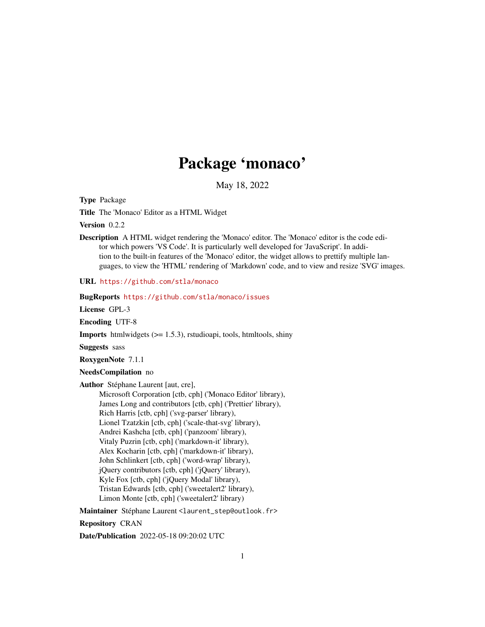## Package 'monaco'

May 18, 2022

Type Package

Title The 'Monaco' Editor as a HTML Widget

Version 0.2.2

Description A HTML widget rendering the 'Monaco' editor. The 'Monaco' editor is the code editor which powers 'VS Code'. It is particularly well developed for 'JavaScript'. In addition to the built-in features of the 'Monaco' editor, the widget allows to prettify multiple languages, to view the 'HTML' rendering of 'Markdown' code, and to view and resize 'SVG' images.

URL <https://github.com/stla/monaco>

BugReports <https://github.com/stla/monaco/issues>

License GPL-3

Encoding UTF-8

**Imports** htmlwidgets  $(>= 1.5.3)$ , rstudioapi, tools, htmltools, shiny

Suggests sass

RoxygenNote 7.1.1

NeedsCompilation no

Author Stéphane Laurent [aut, cre],

Microsoft Corporation [ctb, cph] ('Monaco Editor' library), James Long and contributors [ctb, cph] ('Prettier' library), Rich Harris [ctb, cph] ('svg-parser' library), Lionel Tzatzkin [ctb, cph] ('scale-that-svg' library), Andrei Kashcha [ctb, cph] ('panzoom' library), Vitaly Puzrin [ctb, cph] ('markdown-it' library), Alex Kocharin [ctb, cph] ('markdown-it' library), John Schlinkert [ctb, cph] ('word-wrap' library), jQuery contributors [ctb, cph] ('jQuery' library), Kyle Fox [ctb, cph] ('jQuery Modal' library), Tristan Edwards [ctb, cph] ('sweetalert2' library), Limon Monte [ctb, cph] ('sweetalert2' library)

Maintainer Stéphane Laurent <laurent\_step@outlook.fr>

Repository CRAN

Date/Publication 2022-05-18 09:20:02 UTC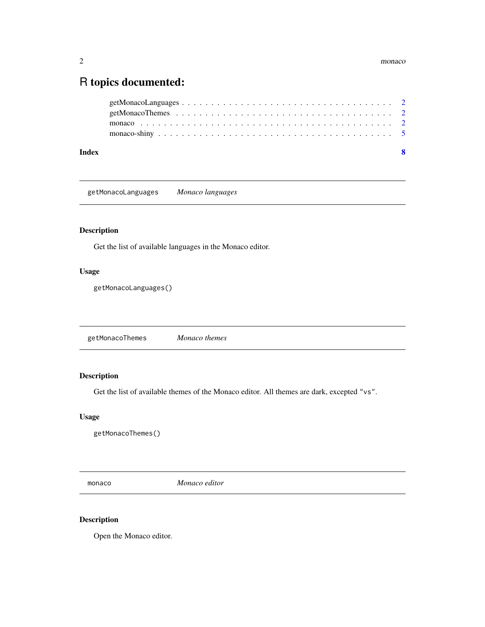### <span id="page-1-0"></span>R topics documented:

| Index | - 8 |  |
|-------|-----|--|
|       |     |  |
|       |     |  |
|       |     |  |
|       |     |  |

<span id="page-1-1"></span>getMonacoLanguages *Monaco languages*

#### Description

Get the list of available languages in the Monaco editor.

#### Usage

getMonacoLanguages()

<span id="page-1-2"></span>getMonacoThemes *Monaco themes*

#### Description

Get the list of available themes of the Monaco editor. All themes are dark, excepted "vs".

#### Usage

getMonacoThemes()

<span id="page-1-3"></span>monaco *Monaco editor*

#### Description

Open the Monaco editor.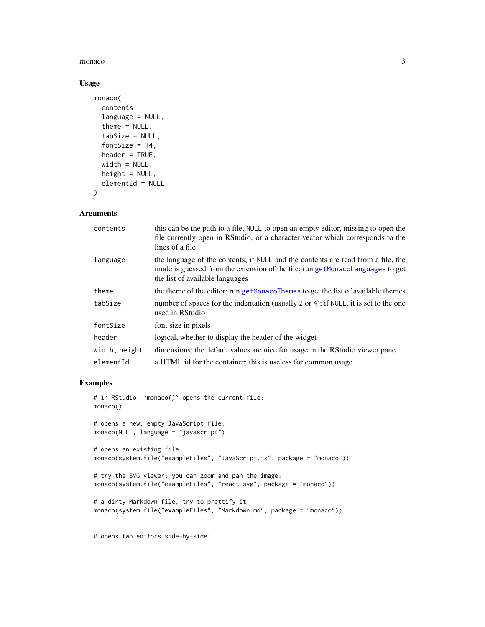#### <span id="page-2-0"></span>monaco 3

#### Usage

```
monaco(
  contents,
  language = NULL,
  theme = NULL,tabSize = NULL,
  fontSize = 14,
  header = TRUE,width = NULL,height = NULL,elementId = NULL\mathcal{L}
```
#### Arguments

| contents      | this can be the path to a file, NULL to open an empty editor, missing to open the<br>file currently open in RStudio, or a character vector which corresponds to the<br>lines of a file               |
|---------------|------------------------------------------------------------------------------------------------------------------------------------------------------------------------------------------------------|
| language      | the language of the contents; if NULL and the contents are read from a file, the<br>mode is guessed from the extension of the file; run getMonacoLanguages to get<br>the list of available languages |
| theme         | the theme of the editor; run getMonacoThemes to get the list of available themes                                                                                                                     |
| tabSize       | number of spaces for the indentation (usually 2 or 4); if NULL, it is set to the one<br>used in RStudio                                                                                              |
| fontSize      | font size in pixels                                                                                                                                                                                  |
| header        | logical, whether to display the header of the widget                                                                                                                                                 |
| width, height | dimensions; the default values are nice for usage in the RStudio viewer pane                                                                                                                         |
| elementId     | a HTML id for the container; this is useless for common usage                                                                                                                                        |

#### Examples

```
# in RStudio, `monaco()` opens the current file:
monaco()
# opens a new, empty JavaScript file:
monaco(NULL, language = "javascript")
# opens an existing file:
monaco(system.file("exampleFiles", "JavaScript.js", package = "monaco"))
# try the SVG viewer; you can zoom and pan the image:
monaco(system.file("exampleFiles", "react.svg", package = "monaco"))
# a dirty Markdown file, try to prettify it:
monaco(system.file("exampleFiles", "Markdown.md", package = "monaco"))
```
# opens two editors side-by-side: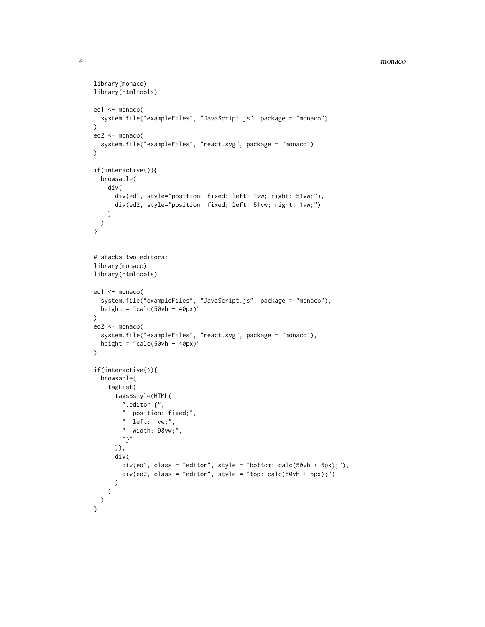#### 4 monaco

```
library(monaco)
library(htmltools)
ed1 <- monaco(
  system.file("exampleFiles", "JavaScript.js", package = "monaco")
\lambdaed2 <- monaco(
  system.file("exampleFiles", "react.svg", package = "monaco")
\lambdaif(interactive()){
  browsable(
   div(
      div(ed1, style="position: fixed; left: 1vw; right: 51vw;"),
      div(ed2, style="position: fixed; left: 51vw; right: 1vw;")
   )
 )
}
# stacks two editors:
library(monaco)
library(htmltools)
ed1 <- monaco(
  system.file("exampleFiles", "JavaScript.js", package = "monaco"),
  height = "calc(50vh - 40px)"\mathcal{L}ed2 <- monaco(
  system.file("exampleFiles", "react.svg", package = "monaco"),
  height = "calc(50vh - 40px)"
\lambdaif(interactive()){
  browsable(
    tagList(
      tags$style(HTML(
        ".editor {",
        " position: fixed;",
        " left: 1vw;",
        " width: 98vw;",
        "}"
      )),
      div(
        div(ed1, class = "editor", style = "bottom: calc(50vh + 5px);"),
        div(ed2, class = "editor", style = "top: calc(50vh + 5px);")
     )
   )
 )
}
```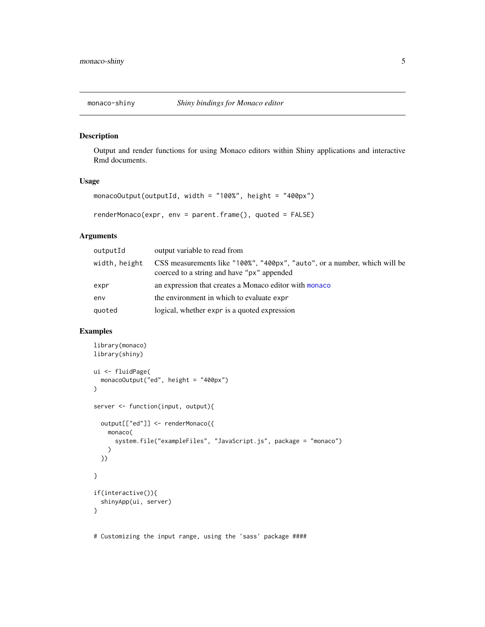<span id="page-4-0"></span>

#### Description

Output and render functions for using Monaco editors within Shiny applications and interactive Rmd documents.

#### Usage

```
monacoOutput(outputId, width = "100%", height = "400px")
renderMonaco(expr, env = parent.frame(), quoted = FALSE)
```
#### Arguments

| outputId      | output variable to read from                                                                                            |
|---------------|-------------------------------------------------------------------------------------------------------------------------|
| width, height | CSS measurements like "100%", "400px", "auto", or a number, which will be<br>coerced to a string and have "px" appended |
| expr          | an expression that creates a Monaco editor with monaco                                                                  |
| env           | the environment in which to evaluate expr                                                                               |
| quoted        | logical, whether expr is a quoted expression                                                                            |

#### Examples

```
library(monaco)
library(shiny)
ui <- fluidPage(
  monacoOutput("ed", height = "400px")
)
server <- function(input, output){
  output[["ed"]] <- renderMonaco({
    monaco(
      system.file("exampleFiles", "JavaScript.js", package = "monaco")
    \lambda})
}
if(interactive()){
  shinyApp(ui, server)
}
# Customizing the input range, using the 'sass' package ####
```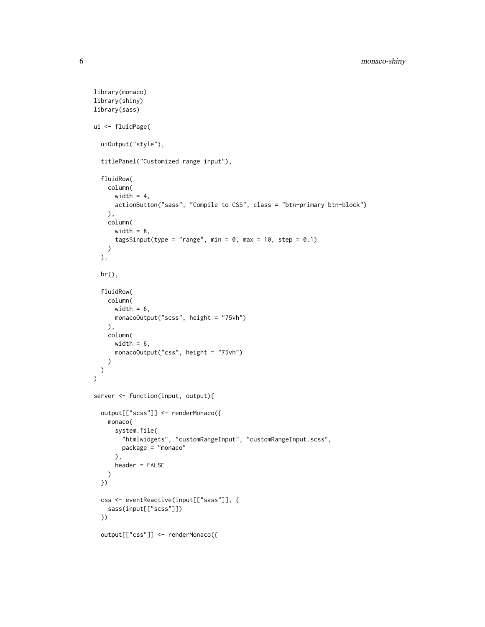```
library(monaco)
library(shiny)
library(sass)
ui <- fluidPage(
  uiOutput("style"),
  titlePanel("Customized range input"),
  fluidRow(
    column(
      width = 4,
      actionButton("sass", "Compile to CSS", class = "btn-primary btn-block")
   ),
   column(
     width = 8,
      tags$input(type = "range", min = 0, max = 10, step = 0.1)
   )
  ),
  br(),
  fluidRow(
   column(
      width = 6,
     monacoOutput("scss", height = "75vh")
   ),
   column(
     width = 6,
     monacoOutput("css", height = "75vh")
   )
 )
\lambdaserver <- function(input, output){
  output[["scss"]] <- renderMonaco({
   monaco(
      system.file(
        "htmlwidgets", "customRangeInput", "customRangeInput.scss",
        package = "monaco"
     ),
     header = FALSE
   )
  })
  css <- eventReactive(input[["sass"]], {
   sass(input[["scss"]])
  })
  output[["css"]] <- renderMonaco({
```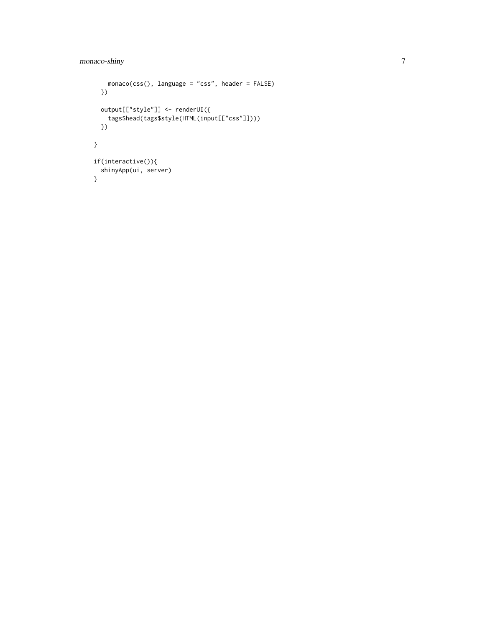#### monaco-shiny 7

```
monaco(css(), language = "css", header = FALSE)
 })
 output[["style"]] <- renderUI({
   tags$head(tags$style(HTML(input[["css"]])))
 })
}
if(interactive()){
 shinyApp(ui, server)
}
```